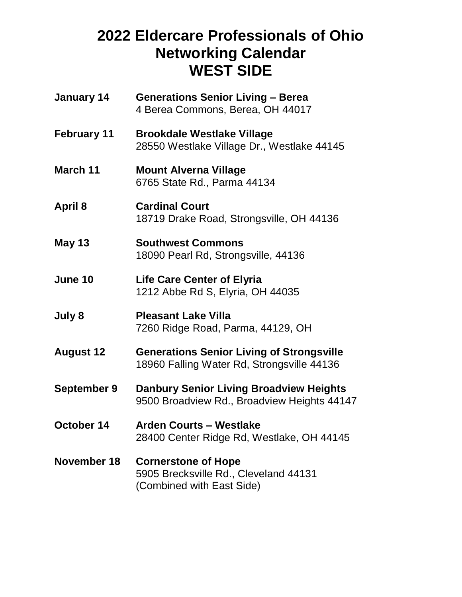## **2022 Eldercare Professionals of Ohio Networking Calendar WEST SIDE**

| January 14         | <b>Generations Senior Living - Berea</b><br>4 Berea Commons, Berea, OH 44017                     |
|--------------------|--------------------------------------------------------------------------------------------------|
| February 11        | <b>Brookdale Westlake Village</b><br>28550 Westlake Village Dr., Westlake 44145                  |
| <b>March 11</b>    | <b>Mount Alverna Village</b><br>6765 State Rd., Parma 44134                                      |
| <b>April 8</b>     | <b>Cardinal Court</b><br>18719 Drake Road, Strongsville, OH 44136                                |
| <b>May 13</b>      | <b>Southwest Commons</b><br>18090 Pearl Rd, Strongsville, 44136                                  |
| <b>June 10</b>     | <b>Life Care Center of Elyria</b><br>1212 Abbe Rd S, Elyria, OH 44035                            |
| July 8             | <b>Pleasant Lake Villa</b><br>7260 Ridge Road, Parma, 44129, OH                                  |
| <b>August 12</b>   | <b>Generations Senior Living of Strongsville</b><br>18960 Falling Water Rd, Strongsville 44136   |
| September 9        | <b>Danbury Senior Living Broadview Heights</b><br>9500 Broadview Rd., Broadview Heights 44147    |
| October 14         | <b>Arden Courts - Westlake</b><br>28400 Center Ridge Rd, Westlake, OH 44145                      |
| <b>November 18</b> | <b>Cornerstone of Hope</b><br>5905 Brecksville Rd., Cleveland 44131<br>(Combined with East Side) |